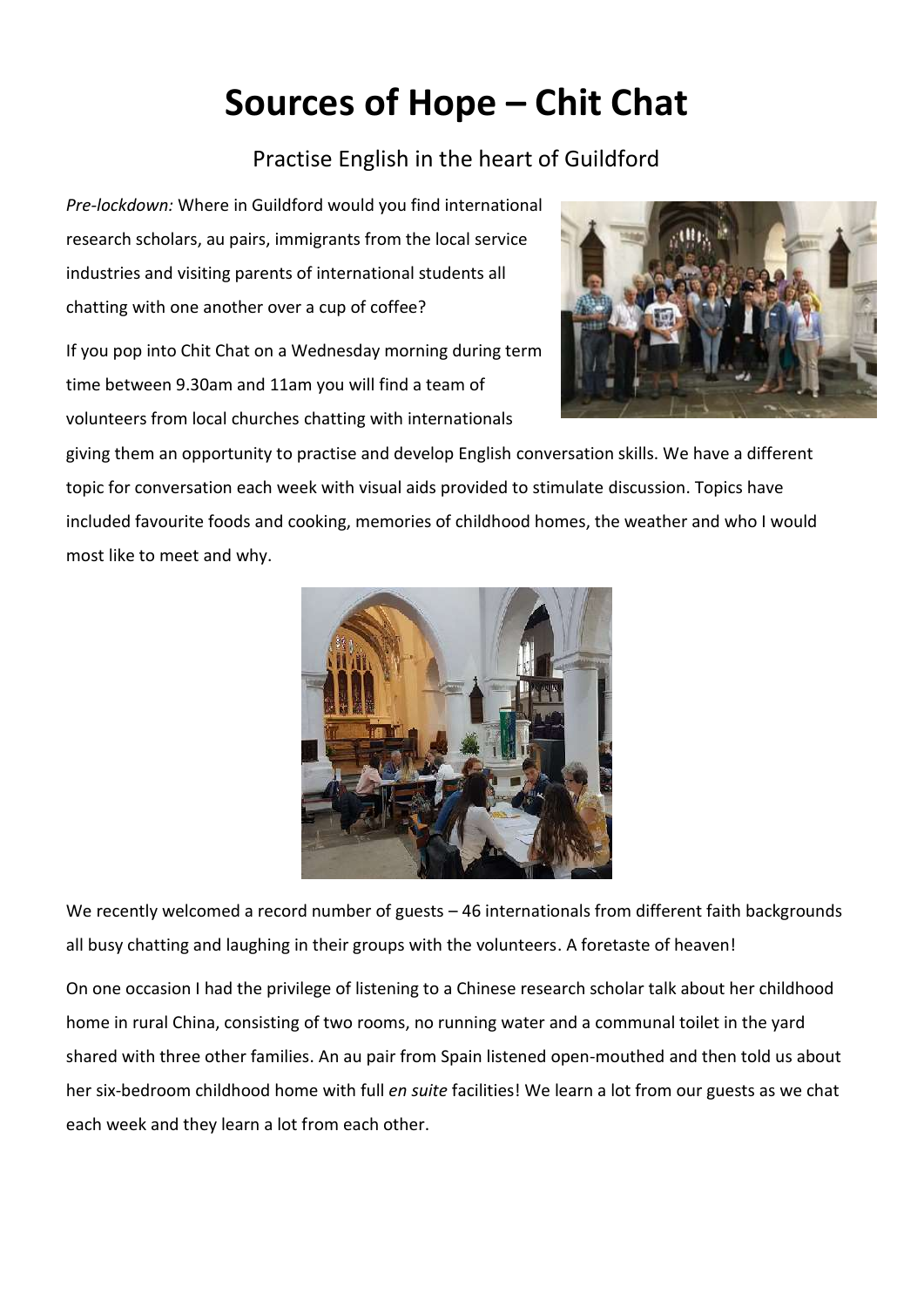## **Sources of Hope – Chit Chat**

## Practise English in the heart of Guildford

*Pre-lockdown:* Where in Guildford would you find international research scholars, au pairs, immigrants from the local service industries and visiting parents of international students all chatting with one another over a cup of coffee?

If you pop into Chit Chat on a Wednesday morning during term time between 9.30am and 11am you will find a team of volunteers from local churches chatting with internationals



giving them an opportunity to practise and develop English conversation skills. We have a different topic for conversation each week with visual aids provided to stimulate discussion. Topics have included favourite foods and cooking, memories of childhood homes, the weather and who I would most like to meet and why.



We recently welcomed a record number of guests – 46 internationals from different faith backgrounds all busy chatting and laughing in their groups with the volunteers. A foretaste of heaven!

On one occasion I had the privilege of listening to a Chinese research scholar talk about her childhood home in rural China, consisting of two rooms, no running water and a communal toilet in the yard shared with three other families. An au pair from Spain listened open-mouthed and then told us about her six-bedroom childhood home with full *en suite* facilities! We learn a lot from our guests as we chat each week and they learn a lot from each other.